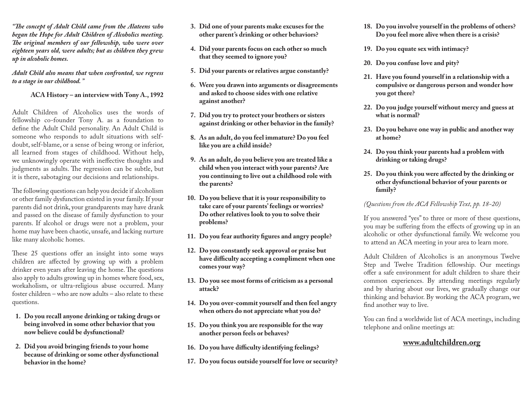*"The concept of Adult Child came from the Alateens who began the Hope for Adult Children of Alcoholics meeting. The original members of our fellowship, who were over eighteen years old, were adults; but as children they grew up in alcoholic homes.* 

*Adult Child also means that when confronted, we regress to a stage in our childhood. "*

**ACA History – an interview with Tony A., 1992**

Adult Children of Alcoholics uses the words of fellowship co-founder Tony A. as a foundation to define the Adult Child personality. An Adult Child is someone who responds to adult situations with selfdoubt, self-blame, or a sense of being wrong or inferior, all learned from stages of childhood. Without help, we unknowingly operate with ineffective thoughts and judgments as adults. The regression can be subtle, but it is there, sabotaging our decisions and relationships.

The following questions can help you decide if alcoholism or other family dysfunction existed in your family. If your parents did not drink, your grandparents may have drank and passed on the disease of family dysfunction to your parents. If alcohol or drugs were not a problem, your home may have been chaotic, unsafe, and lacking nurture like many alcoholic homes.

These 25 questions offer an insight into some ways children are affected by growing up with a problem drinker even years after leaving the home. The questions also apply to adults growing up in homes where food, sex, workaholism, or ultra-religious abuse occurred. Many foster children – who are now adults – also relate to these questions.

- **1. Do you recall anyone drinking or taking drugs or being involved in some other behavior that you now believe could be dysfunctional?**
- **2. Did you avoid bringing friends to your home because of drinking or some other dysfunctional behavior in the home?**
- **3. Did one of your parents make excuses for the other parent's drinking or other behaviors?**
- **4. Did your parents focus on each other so much that they seemed to ignore you?**
- **5. Did your parents or relatives argue constantly?**
- **6. Were you drawn into arguments or disagreements and asked to choose sides with one relative against another?**
- **7. Did you try to protect your brothers or sisters against drinking or other behavior in the family?**
- **8. As an adult, do you feel immature? Do you feel like you are a child inside?**
- **9. As an adult, do you believe you are treated like a child when you interact with your parents? Are you continuing to live out a childhood role with the parents?**
- **10. Do you believe that it is your responsibility to take care of your parents' feelings or worries? Do other relatives look to you to solve their problems?**
- **11. Do you fear authority figures and angry people?**
- **12. Do you constantly seek approval or praise but have difficulty accepting a compliment when one comes your way?**
- **13. Do you see most forms of criticism as a personal attack?**
- **14. Do you over-commit yourself and then feel angry when others do not appreciate what you do?**
- **15. Do you think you are responsible for the way another person feels or behaves?**
- **16. Do you have difficulty identifying feelings?**
- **17. Do you focus outside yourself for love or security?**
- **18. Do you involve yourself in the problems of others? Do you feel more alive when there is a crisis?**
- **19. Do you equate sex with intimacy?**
- **20. Do you confuse love and pity?**
- **21. Have you found yourself in a relationship with a compulsive or dangerous person and wonder how you got there?**
- **22. Do you judge yourself without mercy and guess at what is normal?**
- **23. Do you behave one way in public and another way at home?**
- **24. Do you think your parents had a problem with drinking or taking drugs?**
- **25. Do you think you were affected by the drinking or other dysfunctional behavior of your parents or family?**

*(Questions from the ACA Fellowship Text, pp. 18-20)*

If you answered "yes" to three or more of these questions, you may be suffering from the effects of growing up in an alcoholic or other dysfunctional family. We welcome you to attend an ACA meeting in your area to learn more.

Adult Children of Alcoholics is an anonymous Twelve Step and Twelve Tradition fellowship. Our meetings offer a safe environment for adult children to share their common experiences. By attending meetings regularly and by sharing about our lives, we gradually change our thinking and behavior. By working the ACA program, we find another way to live.

You can find a worldwide list of ACA meetings, including telephone and online meetings at:

## **[www.adultchildren.org](http://www.meetings.adultchildren.org/find-a-meeting1)**